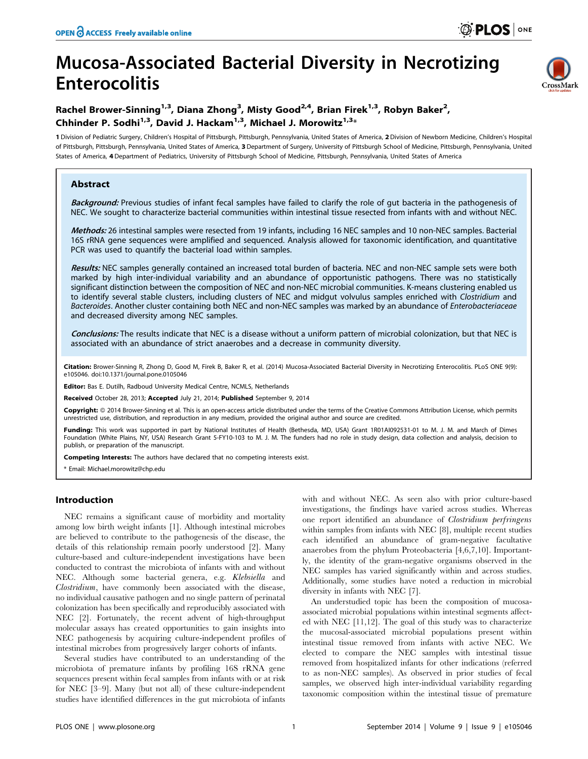# Mucosa-Associated Bacterial Diversity in Necrotizing Enterocolitis



# Rachel Brower-Sinning<sup>1,3</sup>, Diana Zhong<sup>3</sup>, Misty Good<sup>2,4</sup>, Brian Firek<sup>1,3</sup>, Robyn Baker<sup>2</sup>, Chhinder P. Sodhi<sup>1,3</sup>, David J. Hackam<sup>1,3</sup>, Michael J. Morowitz<sup>1,3\*</sup>

1 Division of Pediatric Surgery, Children's Hospital of Pittsburgh, Pittsburgh, Pennsylvania, United States of America, 2Division of Newborn Medicine, Children's Hospital of Pittsburgh, Pittsburgh, Pennsylvania, United States of America, 3 Department of Surgery, University of Pittsburgh School of Medicine, Pittsburgh, Pennsylvania, United States of America, 4 Department of Pediatrics, University of Pittsburgh School of Medicine, Pittsburgh, Pennsylvania, United States of America

# Abstract

Background: Previous studies of infant fecal samples have failed to clarify the role of gut bacteria in the pathogenesis of NEC. We sought to characterize bacterial communities within intestinal tissue resected from infants with and without NEC.

Methods: 26 intestinal samples were resected from 19 infants, including 16 NEC samples and 10 non-NEC samples. Bacterial 16S rRNA gene sequences were amplified and sequenced. Analysis allowed for taxonomic identification, and quantitative PCR was used to quantify the bacterial load within samples.

Results: NEC samples generally contained an increased total burden of bacteria. NEC and non-NEC sample sets were both marked by high inter-individual variability and an abundance of opportunistic pathogens. There was no statistically significant distinction between the composition of NEC and non-NEC microbial communities. K-means clustering enabled us to identify several stable clusters, including clusters of NEC and midgut volvulus samples enriched with Clostridium and Bacteroides. Another cluster containing both NEC and non-NEC samples was marked by an abundance of Enterobacteriaceae and decreased diversity among NEC samples.

Conclusions: The results indicate that NEC is a disease without a uniform pattern of microbial colonization, but that NEC is associated with an abundance of strict anaerobes and a decrease in community diversity.

Citation: Brower-Sinning R, Zhong D, Good M, Firek B, Baker R, et al. (2014) Mucosa-Associated Bacterial Diversity in Necrotizing Enterocolitis. PLoS ONE 9(9): e105046. doi:10.1371/journal.pone.0105046

Editor: Bas E. Dutilh, Radboud University Medical Centre, NCMLS, Netherlands

Received October 28, 2013; Accepted July 21, 2014; Published September 9, 2014

Copyright: © 2014 Brower-Sinning et al. This is an open-access article distributed under the terms of the [Creative Commons Attribution License,](http://creativecommons.org/licenses/by/4.0/) which permits unrestricted use, distribution, and reproduction in any medium, provided the original author and source are credited.

Funding: This work was supported in part by National Institutes of Health (Bethesda, MD, USA) Grant 1R01AI092531-01 to M. J. M. and March of Dimes Foundation (White Plains, NY, USA) Research Grant 5-FY10-103 to M. J. M. The funders had no role in study design, data collection and analysis, decision to publish, or preparation of the manuscript.

Competing Interests: The authors have declared that no competing interests exist.

\* Email: Michael.morowitz@chp.edu

# Introduction

NEC remains a significant cause of morbidity and mortality among low birth weight infants [1]. Although intestinal microbes are believed to contribute to the pathogenesis of the disease, the details of this relationship remain poorly understood [2]. Many culture-based and culture-independent investigations have been conducted to contrast the microbiota of infants with and without NEC. Although some bacterial genera, e.g. Klebsiella and Clostridium, have commonly been associated with the disease, no individual causative pathogen and no single pattern of perinatal colonization has been specifically and reproducibly associated with NEC [2]. Fortunately, the recent advent of high-throughput molecular assays has created opportunities to gain insights into NEC pathogenesis by acquiring culture-independent profiles of intestinal microbes from progressively larger cohorts of infants.

Several studies have contributed to an understanding of the microbiota of premature infants by profiling 16S rRNA gene sequences present within fecal samples from infants with or at risk for NEC [3–9]. Many (but not all) of these culture-independent studies have identified differences in the gut microbiota of infants with and without NEC. As seen also with prior culture-based investigations, the findings have varied across studies. Whereas one report identified an abundance of Clostridium perfringens within samples from infants with NEC [8], multiple recent studies each identified an abundance of gram-negative facultative anaerobes from the phylum Proteobacteria [4,6,7,10]. Importantly, the identity of the gram-negative organisms observed in the NEC samples has varied significantly within and across studies. Additionally, some studies have noted a reduction in microbial diversity in infants with NEC [7].

An understudied topic has been the composition of mucosaassociated microbial populations within intestinal segments affected with NEC [11,12]. The goal of this study was to characterize the mucosal-associated microbial populations present within intestinal tissue removed from infants with active NEC. We elected to compare the NEC samples with intestinal tissue removed from hospitalized infants for other indications (referred to as non-NEC samples). As observed in prior studies of fecal samples, we observed high inter-individual variability regarding taxonomic composition within the intestinal tissue of premature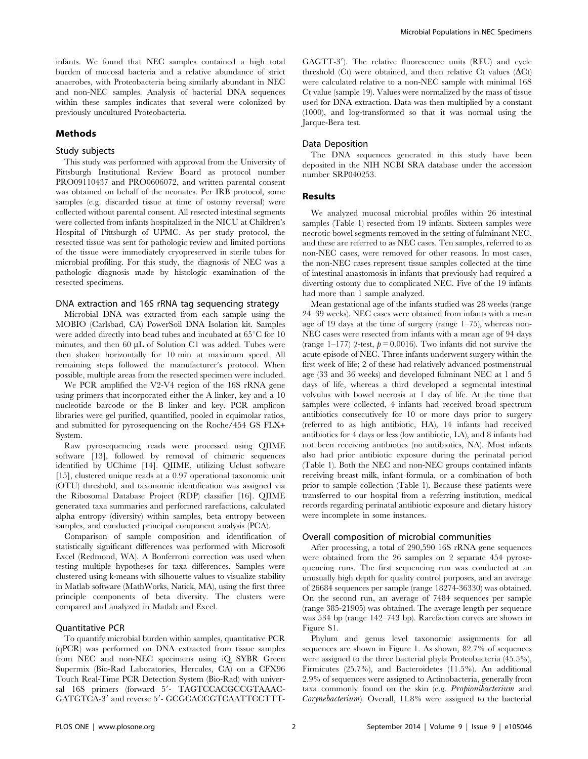infants. We found that NEC samples contained a high total burden of mucosal bacteria and a relative abundance of strict anaerobes, with Proteobacteria being similarly abundant in NEC and non-NEC samples. Analysis of bacterial DNA sequences within these samples indicates that several were colonized by previously uncultured Proteobacteria.

#### Methods

#### Study subjects

This study was performed with approval from the University of Pittsburgh Institutional Review Board as protocol number PRO09110437 and PRO0606072, and written parental consent was obtained on behalf of the neonates. Per IRB protocol, some samples (e.g. discarded tissue at time of ostomy reversal) were collected without parental consent. All resected intestinal segments were collected from infants hospitalized in the NICU at Children's Hospital of Pittsburgh of UPMC. As per study protocol, the resected tissue was sent for pathologic review and limited portions of the tissue were immediately cryopreserved in sterile tubes for microbial profiling. For this study, the diagnosis of NEC was a pathologic diagnosis made by histologic examination of the resected specimens.

#### DNA extraction and 16S rRNA tag sequencing strategy

Microbial DNA was extracted from each sample using the MOBIO (Carlsbad, CA) PowerSoil DNA Isolation kit. Samples were added directly into bead tubes and incubated at  $65^{\circ}$ C for 10 minutes, and then  $60 \mu L$  of Solution C1 was added. Tubes were then shaken horizontally for 10 min at maximum speed. All remaining steps followed the manufacturer's protocol. When possible, multiple areas from the resected specimen were included.

We PCR amplified the V2-V4 region of the 16S rRNA gene using primers that incorporated either the A linker, key and a 10 nucleotide barcode or the B linker and key. PCR amplicon libraries were gel purified, quantified, pooled in equimolar ratios, and submitted for pyrosequencing on the Roche/454 GS FLX+ System.

Raw pyrosequencing reads were processed using QIIME software [13], followed by removal of chimeric sequences identified by UChime [14]. QIIME, utilizing Uclust software [15], clustered unique reads at a 0.97 operational taxonomic unit (OTU) threshold, and taxonomic identification was assigned via the Ribosomal Database Project (RDP) classifier [16]. QIIME generated taxa summaries and performed rarefactions, calculated alpha entropy (diversity) within samples, beta entropy between samples, and conducted principal component analysis (PCA).

Comparison of sample composition and identification of statistically significant differences was performed with Microsoft Excel (Redmond, WA). A Bonferroni correction was used when testing multiple hypotheses for taxa differences. Samples were clustered using k-means with silhouette values to visualize stability in Matlab software (MathWorks, Natick, MA), using the first three principle components of beta diversity. The clusters were compared and analyzed in Matlab and Excel.

## Quantitative PCR

To quantify microbial burden within samples, quantitative PCR (qPCR) was performed on DNA extracted from tissue samples from NEC and non-NEC specimens using iQ SYBR Green Supermix (Bio-Rad Laboratories, Hercules, CA) on a CFX96 Touch Real-Time PCR Detection System (Bio-Rad) with universal 16S primers (forward 5'- TAGTCCACGCCGTAAAC-GATGTCA-3' and reverse 5'- GCGCACCGTCAATTCCTTT-

GAGTT-3'). The relative fluorescence units (RFU) and cycle threshold (Ct) were obtained, and then relative Ct values  $(\Delta Ct)$ were calculated relative to a non-NEC sample with minimal 16S Ct value (sample 19). Values were normalized by the mass of tissue used for DNA extraction. Data was then multiplied by a constant (1000), and log-transformed so that it was normal using the Jarque-Bera test.

#### Data Deposition

The DNA sequences generated in this study have been deposited in the NIH NCBI SRA database under the accession number SRP040253.

#### Results

We analyzed mucosal microbial profiles within 26 intestinal samples (Table 1) resected from 19 infants. Sixteen samples were necrotic bowel segments removed in the setting of fulminant NEC, and these are referred to as NEC cases. Ten samples, referred to as non-NEC cases, were removed for other reasons. In most cases, the non-NEC cases represent tissue samples collected at the time of intestinal anastomosis in infants that previously had required a diverting ostomy due to complicated NEC. Five of the 19 infants had more than 1 sample analyzed.

Mean gestational age of the infants studied was 28 weeks (range 24–39 weeks). NEC cases were obtained from infants with a mean age of 19 days at the time of surgery (range 1–75), whereas non-NEC cases were resected from infants with a mean age of 94 days (range 1–177) (*t*-test,  $p = 0.0016$ ). Two infants did not survive the acute episode of NEC. Three infants underwent surgery within the first week of life; 2 of these had relatively advanced postmenstrual age (33 and 36 weeks) and developed fulminant NEC at 1 and 5 days of life, whereas a third developed a segmental intestinal volvulus with bowel necrosis at 1 day of life. At the time that samples were collected, 4 infants had received broad spectrum antibiotics consecutively for 10 or more days prior to surgery (referred to as high antibiotic, HA), 14 infants had received antibiotics for 4 days or less (low antibiotic, LA), and 8 infants had not been receiving antibiotics (no antibiotics, NA). Most infants also had prior antibiotic exposure during the perinatal period (Table 1). Both the NEC and non-NEC groups contained infants receiving breast milk, infant formula, or a combination of both prior to sample collection (Table 1). Because these patients were transferred to our hospital from a referring institution, medical records regarding perinatal antibiotic exposure and dietary history were incomplete in some instances.

#### Overall composition of microbial communities

After processing, a total of 290,590 16S rRNA gene sequences were obtained from the 26 samples on 2 separate 454 pyrosequencing runs. The first sequencing run was conducted at an unusually high depth for quality control purposes, and an average of 26684 sequences per sample (range 18274-36330) was obtained. On the second run, an average of 7484 sequences per sample (range 385-21905) was obtained. The average length per sequence was 534 bp (range 142–743 bp). Rarefaction curves are shown in Figure S1.

Phylum and genus level taxonomic assignments for all sequences are shown in Figure 1. As shown, 82.7% of sequences were assigned to the three bacterial phyla Proteobacteria (45.5%), Firmicutes (25.7%), and Bacteroidetes (11.5%). An additional 2.9% of sequences were assigned to Actinobacteria, generally from taxa commonly found on the skin (e.g. Propionibacterium and Corynebacterium). Overall, 11.8% were assigned to the bacterial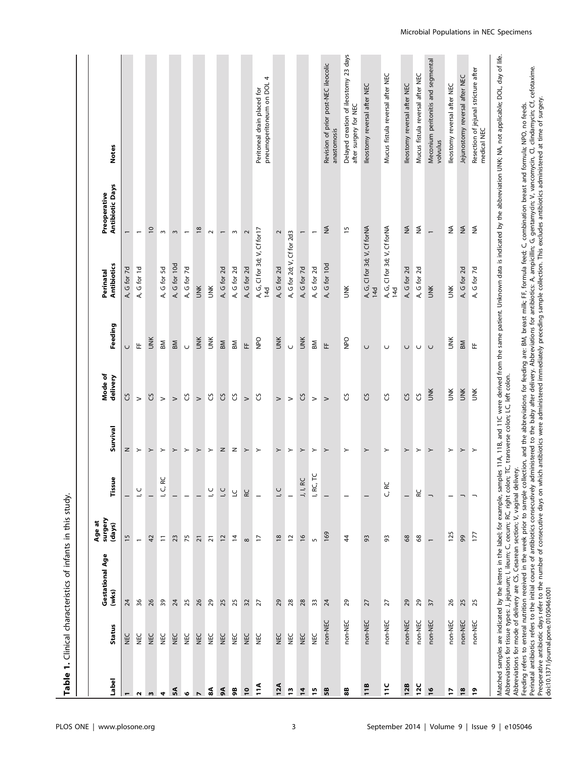|                                       |            | Table 1. Clinical characteristics of infants in this study                                                                                                                                                                                                                               |                             |                          |                  |                     |            |                                     |                                                                                                                                                                                                                  |                                                                                                                                                                                                                                                                                                                                                                                         |
|---------------------------------------|------------|------------------------------------------------------------------------------------------------------------------------------------------------------------------------------------------------------------------------------------------------------------------------------------------|-----------------------------|--------------------------|------------------|---------------------|------------|-------------------------------------|------------------------------------------------------------------------------------------------------------------------------------------------------------------------------------------------------------------|-----------------------------------------------------------------------------------------------------------------------------------------------------------------------------------------------------------------------------------------------------------------------------------------------------------------------------------------------------------------------------------------|
| Label                                 | Status     | Gestational Age<br>(wks)                                                                                                                                                                                                                                                                 | surgery<br>Age at<br>(days) | ٩<br>Tissu               | Survival         | Mode of<br>delivery | Feeding    | Antibiotics<br>Perinatal            | <b>Antibiotic Days</b><br>Preoperative                                                                                                                                                                           | <b>Notes</b>                                                                                                                                                                                                                                                                                                                                                                            |
|                                       | ž          | $\overline{24}$                                                                                                                                                                                                                                                                          | 15                          |                          | z                | უ                   | $\cup$     | A, G for 7d                         | $\overline{\phantom{0}}$                                                                                                                                                                                         |                                                                                                                                                                                                                                                                                                                                                                                         |
| $\sim$                                | <b>NEC</b> | 36                                                                                                                                                                                                                                                                                       | $\overline{a}$              | $\frac{0}{1}$            | $\succ$          | $\geq$              | 뚠          | A, G for 1d                         | $\overline{\phantom{m}}$                                                                                                                                                                                         |                                                                                                                                                                                                                                                                                                                                                                                         |
| w                                     | <b>NEC</b> | 26                                                                                                                                                                                                                                                                                       | $\overline{4}$              |                          | $\succ$          | <b>უ</b>            | <b>JNK</b> |                                     | $\overline{0}$                                                                                                                                                                                                   |                                                                                                                                                                                                                                                                                                                                                                                         |
| 4                                     | <b>NEC</b> | 39                                                                                                                                                                                                                                                                                       | Ξ                           | یچ<br>L, C,              | $\succ$          | $\geq$              | BМ         | A, G for 5d                         | $\sim$                                                                                                                                                                                                           |                                                                                                                                                                                                                                                                                                                                                                                         |
| ۵Ã                                    | <b>NEC</b> | $\overline{24}$                                                                                                                                                                                                                                                                          | 23                          |                          | $\succ$          | $\geq$              | BM         | A, G for 10d                        | $\sim$                                                                                                                                                                                                           |                                                                                                                                                                                                                                                                                                                                                                                         |
| $\bullet$                             | <b>NEC</b> | 25                                                                                                                                                                                                                                                                                       | 75                          |                          | $\succ$          | უ                   | $\cup$     | A, G for 7d                         | $\overline{ }$                                                                                                                                                                                                   |                                                                                                                                                                                                                                                                                                                                                                                         |
| $\blacktriangleright$                 | NEC        | 26                                                                                                                                                                                                                                                                                       | 21                          |                          | $\succ$          | $\geq$              | <b>UNK</b> | ŬЖ                                  | $\frac{8}{2}$                                                                                                                                                                                                    |                                                                                                                                                                                                                                                                                                                                                                                         |
| $\mathbf{a}$                          | NEC        | $_{29}$                                                                                                                                                                                                                                                                                  | $\overline{2}1$             | $\frac{1}{1}$            | $\succ$          | უ                   | UМК        | Š                                   | $\sim$                                                                                                                                                                                                           |                                                                                                                                                                                                                                                                                                                                                                                         |
| $\mathbf{A}$                          | <b>NEC</b> | 25                                                                                                                                                                                                                                                                                       | 12                          | U<br>-                   | $\mathsf{z}$     | S)                  | BM         | A, G for 2d                         | $\overline{\phantom{0}}$                                                                                                                                                                                         |                                                                                                                                                                                                                                                                                                                                                                                         |
| 98                                    | NEC        | 25                                                                                                                                                                                                                                                                                       | $\overline{4}$              | 5                        | z                | უ                   | BM         | A, G for 2d                         | $\,$ $\,$                                                                                                                                                                                                        |                                                                                                                                                                                                                                                                                                                                                                                         |
| $\overline{10}$                       | NEC        | 32                                                                                                                                                                                                                                                                                       | $\infty$                    | RC                       | $\succ$          | $\geq$              | $\pm$      | A, G for 2d                         | $\sim$                                                                                                                                                                                                           |                                                                                                                                                                                                                                                                                                                                                                                         |
| $\frac{4}{11}$                        | NEC        | 57                                                                                                                                                                                                                                                                                       | $\overline{1}$              |                          | $\succ$          | უ                   | <b>OdN</b> | A, G, Cl for 3d; V, Cf for17<br>14d |                                                                                                                                                                                                                  | pneumoperitoneum on DOL 4<br>Peritoneal drain placed for                                                                                                                                                                                                                                                                                                                                |
| 12A                                   | <b>NEC</b> | 29                                                                                                                                                                                                                                                                                       | $\frac{8}{2}$               | U C                      | $\succ$          | $\,$                | <b>UNK</b> | A, G for 2d                         | $\sim$                                                                                                                                                                                                           |                                                                                                                                                                                                                                                                                                                                                                                         |
| $\overline{1}$                        | <b>NEC</b> | 28                                                                                                                                                                                                                                                                                       | $\overline{c}$              | $\overline{\phantom{0}}$ | $\succ$          | $\,$                | $\cup$     | A, G for 2d; V, Cf for 2d3          |                                                                                                                                                                                                                  |                                                                                                                                                                                                                                                                                                                                                                                         |
| $\overline{1}$                        | NEC        | $28$                                                                                                                                                                                                                                                                                     | $\frac{6}{2}$               | J, I, RC                 | $\succ$          | უ                   | <b>UNK</b> | A, G for 7d                         | $\overline{\phantom{0}}$                                                                                                                                                                                         |                                                                                                                                                                                                                                                                                                                                                                                         |
| 15                                    | уал<br>М   | 33                                                                                                                                                                                                                                                                                       | S                           | $\overline{r}$<br>I, RC, | $\succ$          | $\geq$              | ВM         | A, G for 2d                         | $\overline{\phantom{0}}$                                                                                                                                                                                         |                                                                                                                                                                                                                                                                                                                                                                                         |
| 5B                                    | non-NEC    | $\overline{z}$                                                                                                                                                                                                                                                                           | 169                         | $\overline{\phantom{0}}$ | $\left. \right.$ | $\geq$              | 뚠          | A, G for 10d                        | $\stackrel{\leq}{\geq}$                                                                                                                                                                                          | Revision of prior post-NEC ileocolic<br>anastomosis                                                                                                                                                                                                                                                                                                                                     |
| 88                                    | non-NEC    | ನಿ                                                                                                                                                                                                                                                                                       | $\ddot{4}$                  |                          | $\succ$          | უ                   | DdN        | UМК                                 | $\frac{15}{2}$                                                                                                                                                                                                   | Delayed creation of ileostomy 23 days<br>after surgery for NEC                                                                                                                                                                                                                                                                                                                          |
| $\frac{1}{18}$                        | non-NEC    | 27                                                                                                                                                                                                                                                                                       | 93                          |                          | $\succ$          | უ                   | $\cup$     | A, G, Cl for 3d; V, Cf forNA<br>14d |                                                                                                                                                                                                                  | lleostomy reversal after NEC                                                                                                                                                                                                                                                                                                                                                            |
| Ĕ                                     | non-NEC    | $\overline{z}$                                                                                                                                                                                                                                                                           | 93                          | C, RC                    | $\succ$          | უ                   | $\cup$     | A, G, CI for 3d; V, Cf forNA<br>14d |                                                                                                                                                                                                                  | Mucus fistula reversal after NEC                                                                                                                                                                                                                                                                                                                                                        |
| 12B                                   | non-NEC    | 29                                                                                                                                                                                                                                                                                       | 8                           |                          | $\succ$          | <b>ვე</b>           | $\cup$     | A, G for 2d                         | $\stackrel{\leq}{\geq}$                                                                                                                                                                                          | lleostomy reversal after NEC                                                                                                                                                                                                                                                                                                                                                            |
| 12C                                   | non-NEC    | $_{29}$                                                                                                                                                                                                                                                                                  | 8                           | RC                       | $\succ$          | უ                   | U          | A, G for 2d                         | $\stackrel{\triangle}{\geq}$                                                                                                                                                                                     | Mucus fistula reversal after NEC                                                                                                                                                                                                                                                                                                                                                        |
| $\frac{6}{2}$                         | non-NEC    | $\overline{\mathcal{E}}$                                                                                                                                                                                                                                                                 |                             |                          | $\succ$          | UМК                 | $\cup$     | ŬЖ                                  | $\overline{a}$                                                                                                                                                                                                   | Meconium peritonitis and segmental<br>volvulus                                                                                                                                                                                                                                                                                                                                          |
| L,                                    | non-NEC    | 26                                                                                                                                                                                                                                                                                       | 125                         | ÷                        | $\succ$          | ЙNК                 | ЙNК        | ŬЖ                                  | $\stackrel{\triangle}{\geq}$                                                                                                                                                                                     | lleostomy reversal after NEC                                                                                                                                                                                                                                                                                                                                                            |
| $\overline{18}$                       | non-NEC    | 25                                                                                                                                                                                                                                                                                       | 99                          |                          | $\succ$          | <b>UNK</b>          | BM         | A, G for 2d                         | $\stackrel{\triangle}{\geq}$                                                                                                                                                                                     | Jejunostomy reversal after NEC                                                                                                                                                                                                                                                                                                                                                          |
| $\overline{5}$                        | non-NEC    | 25                                                                                                                                                                                                                                                                                       | 177                         |                          | $\succ$          | š                   | 뚠          | A, G for 7d                         | $\stackrel{\leq}{\geq}$                                                                                                                                                                                          | Resection of jejunal stricture after<br>medical NEC                                                                                                                                                                                                                                                                                                                                     |
|                                       |            | Abbreviations for tissue types: J, jejunum; I, ileum; C, cecum; RC, right colon; TC, transverse colon; LC, left colon.<br>Abbreviations for mode of delivery are CS, Cesarean section; V, vaginal del<br>Perinatal antibiotics refers to the initial course of antibiotics consecutively |                             | livery.                  |                  |                     |            |                                     | Feeding refers to enteral nutrition received in the week prior to sample collection, and the abbreviations for feeding are: BM, breast milk; FF, formula feed; C, combination breast and formula; NPO, no feeds. | Matched samples are indicated by the letters in the label; for example, samples 11A, 11B, and 11C were derived from the same patient. Unknown data is indicated by the abbreviation UNK; NA, not applicable; DOL, day of life.<br>administered to the baby after delivery. Abbreviations for antibiotics: A, ampicillin; G, gentamycin; V, vancomycin, Cl, clindamycin; Cf, cefotaxime. |
| doi:10.1371/journal.pone.0105046.t001 |            |                                                                                                                                                                                                                                                                                          |                             |                          |                  |                     |            |                                     | Preoperative antibiotic days refer to the number of consecutive days on which antibiotics were administered immediately preceding sample collection. This excludes antibiotics administered at time of surgery.  |                                                                                                                                                                                                                                                                                                                                                                                         |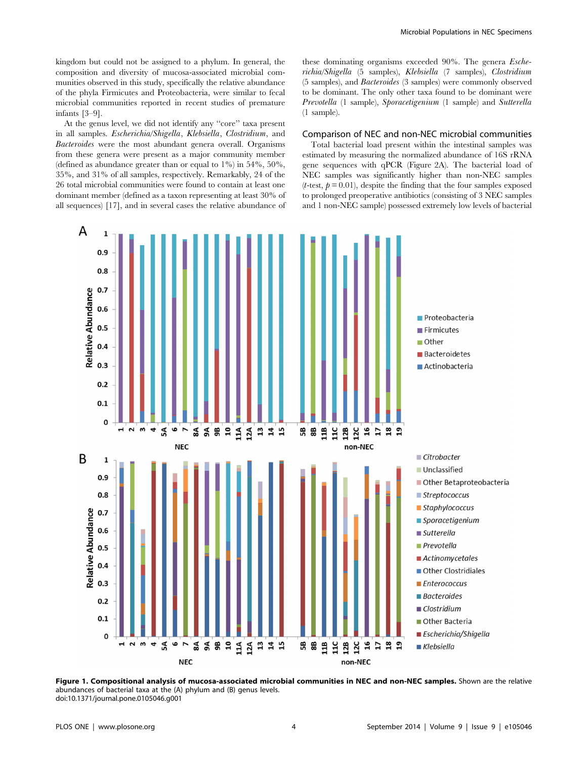kingdom but could not be assigned to a phylum. In general, the composition and diversity of mucosa-associated microbial communities observed in this study, specifically the relative abundance of the phyla Firmicutes and Proteobacteria, were similar to fecal microbial communities reported in recent studies of premature infants [3–9].

At the genus level, we did not identify any ''core'' taxa present in all samples. Escherichia/Shigella, Klebsiella, Clostridium, and Bacteroides were the most abundant genera overall. Organisms from these genera were present as a major community member (defined as abundance greater than or equal to  $1\%$ ) in  $54\%$ ,  $50\%$ . 35%, and 31% of all samples, respectively. Remarkably, 24 of the 26 total microbial communities were found to contain at least one dominant member (defined as a taxon representing at least 30% of all sequences) [17], and in several cases the relative abundance of these dominating organisms exceeded 90%. The genera Escherichia/Shigella (5 samples), Klebsiella (7 samples), Clostridium (5 samples), and Bacteroides (3 samples) were commonly observed to be dominant. The only other taxa found to be dominant were Prevotella (1 sample), Sporacetigenium (1 sample) and Sutterella (1 sample).

## Comparison of NEC and non-NEC microbial communities

Total bacterial load present within the intestinal samples was estimated by measuring the normalized abundance of 16S rRNA gene sequences with qPCR (Figure 2A). The bacterial load of NEC samples was significantly higher than non-NEC samples (*t*-test,  $p = 0.01$ ), despite the finding that the four samples exposed to prolonged preoperative antibiotics (consisting of 3 NEC samples and 1 non-NEC sample) possessed extremely low levels of bacterial



Figure 1. Compositional analysis of mucosa-associated microbial communities in NEC and non-NEC samples. Shown are the relative abundances of bacterial taxa at the (A) phylum and (B) genus levels. doi:10.1371/journal.pone.0105046.g001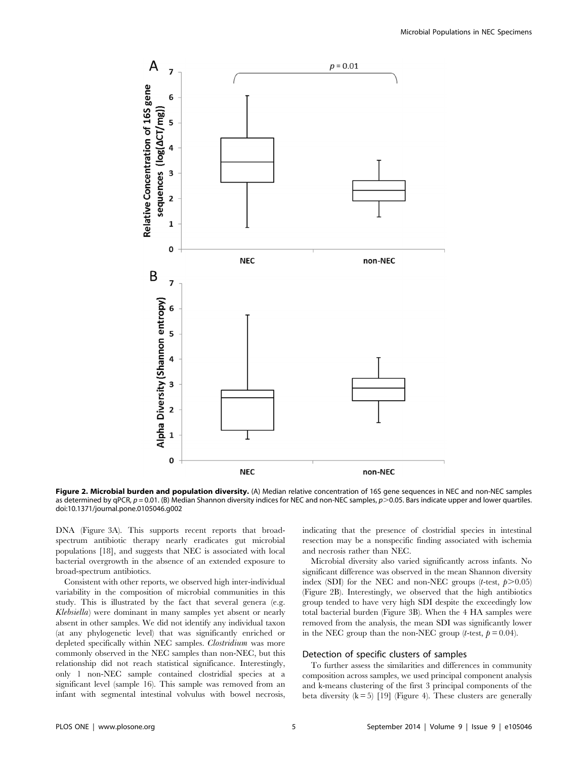

Figure 2. Microbial burden and population diversity. (A) Median relative concentration of 16S gene sequences in NEC and non-NEC samples as determined by qPCR,  $p = 0.01$ . (B) Median Shannon diversity indices for NEC and non-NEC samples,  $p > 0.05$ . Bars indicate upper and lower quartiles. doi:10.1371/journal.pone.0105046.g002

DNA (Figure 3A). This supports recent reports that broadspectrum antibiotic therapy nearly eradicates gut microbial populations [18], and suggests that NEC is associated with local bacterial overgrowth in the absence of an extended exposure to broad-spectrum antibiotics.

Consistent with other reports, we observed high inter-individual variability in the composition of microbial communities in this study. This is illustrated by the fact that several genera (e.g. Klebsiella) were dominant in many samples yet absent or nearly absent in other samples. We did not identify any individual taxon (at any phylogenetic level) that was significantly enriched or depleted specifically within NEC samples. Clostridium was more commonly observed in the NEC samples than non-NEC, but this relationship did not reach statistical significance. Interestingly, only 1 non-NEC sample contained clostridial species at a significant level (sample 16). This sample was removed from an infant with segmental intestinal volvulus with bowel necrosis,

indicating that the presence of clostridial species in intestinal resection may be a nonspecific finding associated with ischemia and necrosis rather than NEC.

Microbial diversity also varied significantly across infants. No significant difference was observed in the mean Shannon diversity index (SDI) for the NEC and non-NEC groups (*t*-test,  $p > 0.05$ ) (Figure 2B). Interestingly, we observed that the high antibiotics group tended to have very high SDI despite the exceedingly low total bacterial burden (Figure 3B). When the 4 HA samples were removed from the analysis, the mean SDI was significantly lower in the NEC group than the non-NEC group (*t*-test,  $p = 0.04$ ).

#### Detection of specific clusters of samples

To further assess the similarities and differences in community composition across samples, we used principal component analysis and k-means clustering of the first 3 principal components of the beta diversity  $(k = 5)$  [19] (Figure 4). These clusters are generally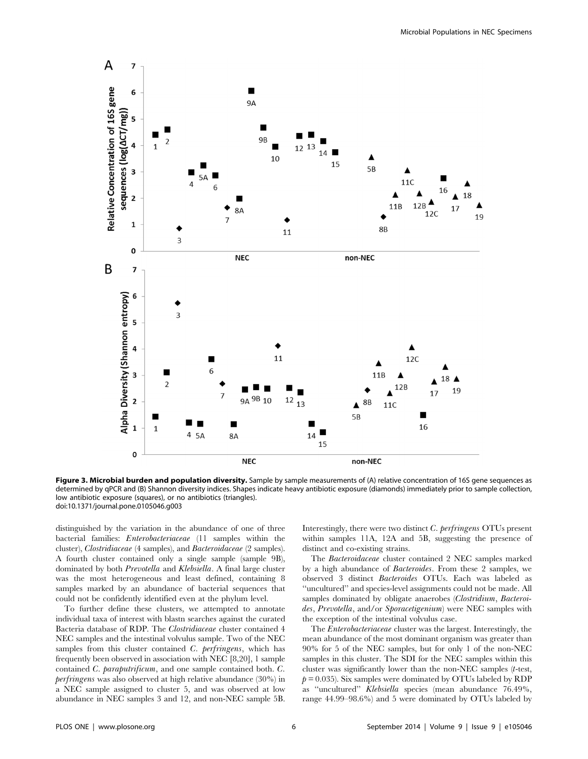

Figure 3. Microbial burden and population diversity. Sample by sample measurements of (A) relative concentration of 16S gene sequences as determined by qPCR and (B) Shannon diversity indices. Shapes indicate heavy antibiotic exposure (diamonds) immediately prior to sample collection, low antibiotic exposure (squares), or no antibiotics (triangles). doi:10.1371/journal.pone.0105046.g003

distinguished by the variation in the abundance of one of three bacterial families: Enterobacteriaceae (11 samples within the cluster), Clostridiaceae (4 samples), and Bacteroidaceae (2 samples). A fourth cluster contained only a single sample (sample 9B), dominated by both Prevotella and Klebsiella. A final large cluster was the most heterogeneous and least defined, containing 8 samples marked by an abundance of bacterial sequences that could not be confidently identified even at the phylum level.

To further define these clusters, we attempted to annotate individual taxa of interest with blastn searches against the curated Bacteria database of RDP. The Clostridiaceae cluster contained 4 NEC samples and the intestinal volvulus sample. Two of the NEC samples from this cluster contained C. perfringens, which has frequently been observed in association with NEC [8,20], 1 sample contained C. paraputrificum, and one sample contained both. C. perfringens was also observed at high relative abundance (30%) in a NEC sample assigned to cluster 5, and was observed at low abundance in NEC samples 3 and 12, and non-NEC sample 5B.

Interestingly, there were two distinct C. perfringens OTUs present within samples 11A, 12A and 5B, suggesting the presence of distinct and co-existing strains.

The Bacteroidaceae cluster contained 2 NEC samples marked by a high abundance of Bacteroides. From these 2 samples, we observed 3 distinct Bacteroides OTUs. Each was labeled as ''uncultured'' and species-level assignments could not be made. All samples dominated by obligate anaerobes (Clostridium, Bacteroides, Prevotella, and/or Sporacetigenium) were NEC samples with the exception of the intestinal volvulus case.

The Enterobacteriaceae cluster was the largest. Interestingly, the mean abundance of the most dominant organism was greater than 90% for 5 of the NEC samples, but for only 1 of the non-NEC samples in this cluster. The SDI for the NEC samples within this cluster was significantly lower than the non-NEC samples (t-test,  $p = 0.035$ ). Six samples were dominated by OTUs labeled by RDP as ''uncultured'' Klebsiella species (mean abundance 76.49%, range 44.99–98.6%) and 5 were dominated by OTUs labeled by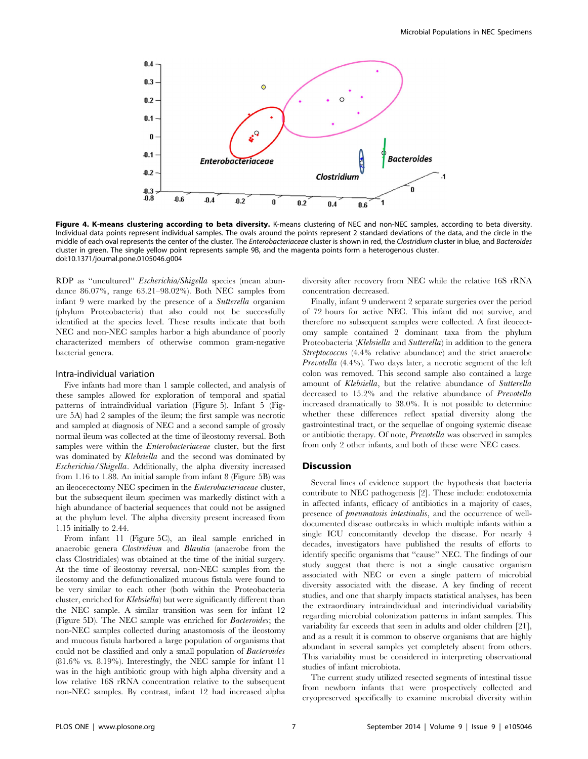

Figure 4. K-means clustering according to beta diversity. K-means clustering of NEC and non-NEC samples, according to beta diversity. Individual data points represent individual samples. The ovals around the points represent 2 standard deviations of the data, and the circle in the middle of each oval represents the center of the cluster. The Enterobacteriaceae cluster is shown in red, the Clostridium cluster in blue, and Bacteroides cluster in green. The single yellow point represents sample 9B, and the magenta points form a heterogenous cluster. doi:10.1371/journal.pone.0105046.g004

RDP as ''uncultured'' Escherichia/Shigella species (mean abundance 86.07%, range 63.21–98.02%). Both NEC samples from infant 9 were marked by the presence of a Sutterella organism (phylum Proteobacteria) that also could not be successfully identified at the species level. These results indicate that both NEC and non-NEC samples harbor a high abundance of poorly characterized members of otherwise common gram-negative bacterial genera.

#### Intra-individual variation

Five infants had more than 1 sample collected, and analysis of these samples allowed for exploration of temporal and spatial patterns of intraindividual variation (Figure 5). Infant 5 (Figure 5A) had 2 samples of the ileum; the first sample was necrotic and sampled at diagnosis of NEC and a second sample of grossly normal ileum was collected at the time of ileostomy reversal. Both samples were within the *Enterobacteriaceae* cluster, but the first was dominated by Klebsiella and the second was dominated by Escherichia/Shigella. Additionally, the alpha diversity increased from 1.16 to 1.88. An initial sample from infant 8 (Figure 5B) was an ileocecectomy NEC specimen in the Enterobacteriaceae cluster, but the subsequent ileum specimen was markedly distinct with a high abundance of bacterial sequences that could not be assigned at the phylum level. The alpha diversity present increased from 1.15 initially to 2.44.

From infant 11 (Figure 5C), an ileal sample enriched in anaerobic genera Clostridium and Blautia (anaerobe from the class Clostridiales) was obtained at the time of the initial surgery. At the time of ileostomy reversal, non-NEC samples from the ileostomy and the defunctionalized mucous fistula were found to be very similar to each other (both within the Proteobacteria cluster, enriched for Klebsiella) but were significantly different than the NEC sample. A similar transition was seen for infant 12 (Figure 5D). The NEC sample was enriched for Bacteroides; the non-NEC samples collected during anastomosis of the ileostomy and mucous fistula harbored a large population of organisms that could not be classified and only a small population of Bacteroides (81.6% vs. 8.19%). Interestingly, the NEC sample for infant 11 was in the high antibiotic group with high alpha diversity and a low relative 16S rRNA concentration relative to the subsequent non-NEC samples. By contrast, infant 12 had increased alpha

diversity after recovery from NEC while the relative 16S rRNA concentration decreased.

Finally, infant 9 underwent 2 separate surgeries over the period of 72 hours for active NEC. This infant did not survive, and therefore no subsequent samples were collected. A first ileocectomy sample contained 2 dominant taxa from the phylum Proteobacteria (Klebsiella and Sutterella) in addition to the genera Streptococcus (4.4% relative abundance) and the strict anaerobe Prevotella (4.4%). Two days later, a necrotic segment of the left colon was removed. This second sample also contained a large amount of Klebsiella, but the relative abundance of Sutterella decreased to 15.2% and the relative abundance of Prevotella increased dramatically to 38.0%. It is not possible to determine whether these differences reflect spatial diversity along the gastrointestinal tract, or the sequellae of ongoing systemic disease or antibiotic therapy. Of note, Prevotella was observed in samples from only 2 other infants, and both of these were NEC cases.

#### Discussion

Several lines of evidence support the hypothesis that bacteria contribute to NEC pathogenesis [2]. These include: endotoxemia in affected infants, efficacy of antibiotics in a majority of cases, presence of pneumatosis intestinalis, and the occurrence of welldocumented disease outbreaks in which multiple infants within a single ICU concomitantly develop the disease. For nearly 4 decades, investigators have published the results of efforts to identify specific organisms that ''cause'' NEC. The findings of our study suggest that there is not a single causative organism associated with NEC or even a single pattern of microbial diversity associated with the disease. A key finding of recent studies, and one that sharply impacts statistical analyses, has been the extraordinary intraindividual and interindividual variability regarding microbial colonization patterns in infant samples. This variability far exceeds that seen in adults and older children [21], and as a result it is common to observe organisms that are highly abundant in several samples yet completely absent from others. This variability must be considered in interpreting observational studies of infant microbiota.

The current study utilized resected segments of intestinal tissue from newborn infants that were prospectively collected and cryopreserved specifically to examine microbial diversity within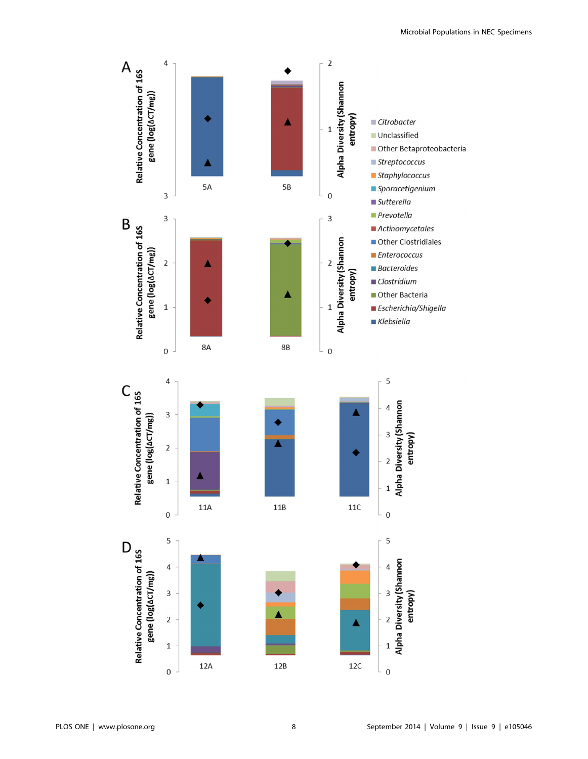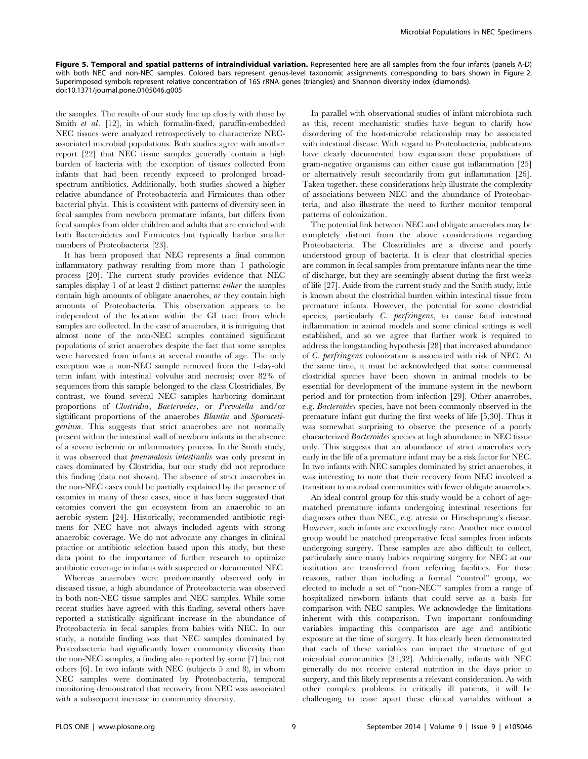Figure 5. Temporal and spatial patterns of intraindividual variation. Represented here are all samples from the four infants (panels A-D) with both NEC and non-NEC samples. Colored bars represent genus-level taxonomic assignments corresponding to bars shown in Figure 2. Superimposed symbols represent relative concentration of 16S rRNA genes (triangles) and Shannon diversity index (diamonds). doi:10.1371/journal.pone.0105046.g005

the samples. The results of our study line up closely with those by Smith et al. [12], in which formalin-fixed, paraffin-embedded NEC tissues were analyzed retrospectively to characterize NECassociated microbial populations. Both studies agree with another report [22] that NEC tissue samples generally contain a high burden of bacteria with the exception of tissues collected from infants that had been recently exposed to prolonged broadspectrum antibiotics. Additionally, both studies showed a higher relative abundance of Proteobacteria and Firmicutes than other bacterial phyla. This is consistent with patterns of diversity seen in fecal samples from newborn premature infants, but differs from fecal samples from older children and adults that are enriched with both Bacteroidetes and Firmicutes but typically harbor smaller numbers of Proteobacteria [23].

It has been proposed that NEC represents a final common inflammatory pathway resulting from more than 1 pathologic process [20]. The current study provides evidence that NEC samples display 1 of at least 2 distinct patterns: either the samples contain high amounts of obligate anaerobes, or they contain high amounts of Proteobacteria. This observation appears to be independent of the location within the GI tract from which samples are collected. In the case of anaerobes, it is intriguing that almost none of the non-NEC samples contained significant populations of strict anaerobes despite the fact that some samples were harvested from infants at several months of age. The only exception was a non-NEC sample removed from the 1-day-old term infant with intestinal volvulus and necrosis; over 82% of sequences from this sample belonged to the class Clostridiales. By contrast, we found several NEC samples harboring dominant proportions of Clostridia, Bacteroides, or Prevotella and/or significant proportions of the anaerobes Blautia and Sporacetigenium. This suggests that strict anaerobes are not normally present within the intestinal wall of newborn infants in the absence of a severe ischemic or inflammatory process. In the Smith study, it was observed that pneumatosis intestinalis was only present in cases dominated by Clostridia, but our study did not reproduce this finding (data not shown). The absence of strict anaerobes in the non-NEC cases could be partially explained by the presence of ostomies in many of these cases, since it has been suggested that ostomies convert the gut ecosystem from an anaerobic to an aerobic system [24]. Historically, recommended antibiotic regimens for NEC have not always included agents with strong anaerobic coverage. We do not advocate any changes in clinical practice or antibiotic selection based upon this study, but these data point to the importance of further research to optimize antibiotic coverage in infants with suspected or documented NEC.

Whereas anaerobes were predominantly observed only in diseased tissue, a high abundance of Proteobacteria was observed in both non-NEC tissue samples and NEC samples. While some recent studies have agreed with this finding, several others have reported a statistically significant increase in the abundance of Proteobacteria in fecal samples from babies with NEC. In our study, a notable finding was that NEC samples dominated by Proteobacteria had significantly lower community diversity than the non-NEC samples, a finding also reported by some [7] but not others [6]. In two infants with NEC (subjects 5 and 8), in whom NEC samples were dominated by Proteobacteria, temporal monitoring demonstrated that recovery from NEC was associated with a subsequent increase in community diversity.

In parallel with observational studies of infant microbiota such as this, recent mechanistic studies have begun to clarify how disordering of the host-microbe relationship may be associated with intestinal disease. With regard to Proteobacteria, publications have clearly documented how expansion these populations of gram-negative organisms can either cause gut inflammation [25] or alternatively result secondarily from gut inflammation [26]. Taken together, these considerations help illustrate the complexity of associations between NEC and the abundance of Proteobacteria, and also illustrate the need to further monitor temporal patterns of colonization.

The potential link between NEC and obligate anaerobes may be completely distinct from the above considerations regarding Proteobacteria. The Clostridiales are a diverse and poorly understood group of bacteria. It is clear that clostridial species are common in fecal samples from premature infants near the time of discharge, but they are seemingly absent during the first weeks of life [27]. Aside from the current study and the Smith study, little is known about the clostridial burden within intestinal tissue from premature infants. However, the potential for some clostridial species, particularly C. *perfringens*, to cause fatal intestinal inflammation in animal models and some clinical settings is well established, and so we agree that further work is required to address the longstanding hypothesis [28] that increased abundance of C. perfringens colonization is associated with risk of NEC. At the same time, it must be acknowledged that some commensal clostridial species have been shown in animal models to be essential for development of the immune system in the newborn period and for protection from infection [29]. Other anaerobes, e.g. Bacteroides species, have not been commonly observed in the premature infant gut during the first weeks of life [5,30]. Thus it was somewhat surprising to observe the presence of a poorly characterized Bacteroides species at high abundance in NEC tissue only. This suggests that an abundance of strict anaerobes very early in the life of a premature infant may be a risk factor for NEC. In two infants with NEC samples dominated by strict anaerobes, it was interesting to note that their recovery from NEC involved a transition to microbial communities with fewer obligate anaerobes.

An ideal control group for this study would be a cohort of agematched premature infants undergoing intestinal resections for diagnoses other than NEC, e.g. atresia or Hirschsprung's disease. However, such infants are exceedingly rare. Another nice control group would be matched preoperative fecal samples from infants undergoing surgery. These samples are also difficult to collect, particularly since many babies requiring surgery for NEC at our institution are transferred from referring facilities. For these reasons, rather than including a formal ''control'' group, we elected to include a set of ''non-NEC'' samples from a range of hospitalized newborn infants that could serve as a basis for comparison with NEC samples. We acknowledge the limitations inherent with this comparison. Two important confounding variables impacting this comparison are age and antibiotic exposure at the time of surgery. It has clearly been demonstrated that each of these variables can impact the structure of gut microbial communities [31,32]. Additionally, infants with NEC generally do not receive enteral nutrition in the days prior to surgery, and this likely represents a relevant consideration. As with other complex problems in critically ill patients, it will be challenging to tease apart these clinical variables without a